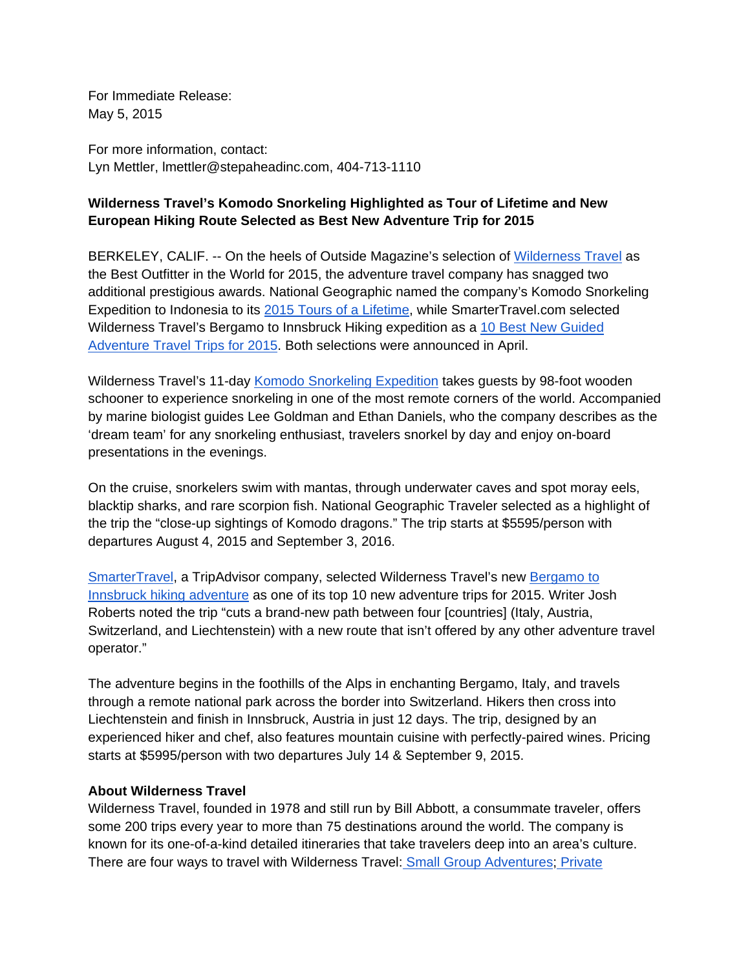For Immediate Release: May 5, 2015

For more information, contact: Lyn Mettler, lmettler@stepaheadinc.com, 404-713-1110

## **Wilderness Travel's Komodo Snorkeling Highlighted as Tour of Lifetime and New European Hiking Route Selected as Best New Adventure Trip for 2015**

BERKELEY, CALIF. -- On the heels of Outside Magazine's selection of [Wilderness Travel](http://www.wildernesstravel.com/) as the Best Outfitter in the World for 2015, the adventure travel company has snagged two additional prestigious awards. National Geographic named the company's Komodo Snorkeling Expedition to Indonesia to its [2015 Tours of a Lifetime](http://www.outsideonline.com/1957691/30-most-incredible-trips-take-2015), while SmarterTravel.com selected Wilderness Travel's Bergamo to Innsbruck Hiking expedition as a [10 Best New Guided](http://www.smartertravel.com/photo-galleries/editorial/10-best-new-guided-adventure-travel-trips-2015-edition.html?id=1012&all=1)  [Adventure Travel Trips for 2015.](http://www.smartertravel.com/photo-galleries/editorial/10-best-new-guided-adventure-travel-trips-2015-edition.html?id=1012&all=1) Both selections were announced in April.

Wilderness Travel's 11-day [Komodo Snorkeling Expedition](http://www.wildernesstravel.com/trip/indonesia/komodo-snorkeling-sumbawa-bali) takes guests by 98-foot wooden schooner to experience snorkeling in one of the most remote corners of the world. Accompanied by marine biologist guides Lee Goldman and Ethan Daniels, who the company describes as the 'dream team' for any snorkeling enthusiast, travelers snorkel by day and enjoy on-board presentations in the evenings.

On the cruise, snorkelers swim with mantas, through underwater caves and spot moray eels, blacktip sharks, and rare scorpion fish. National Geographic Traveler selected as a highlight of the trip the "close-up sightings of Komodo dragons." The trip starts at \$5595/person with departures August 4, 2015 and September 3, 2016.

[SmarterTravel,](http://www.smartertravel.com) a TripAdvisor company, selected Wilderness Travel's new [Bergamo to](http://www.smartertravel.com/photo-galleries/editorial/10-best-new-guided-adventure-travel-trips-2015-edition.html?id=1012&all=1)  [Innsbruck hiking adventure](http://www.smartertravel.com/photo-galleries/editorial/10-best-new-guided-adventure-travel-trips-2015-edition.html?id=1012&all=1) as one of its top 10 new adventure trips for 2015. Writer Josh Roberts noted the trip "cuts a brand-new path between four [countries] (Italy, Austria, Switzerland, and Liechtenstein) with a new route that isn't offered by any other adventure travel operator."

The adventure begins in the foothills of the Alps in enchanting Bergamo, Italy, and travels through a remote national park across the border into Switzerland. Hikers then cross into Liechtenstein and finish in Innsbruck, Austria in just 12 days. The trip, designed by an experienced hiker and chef, also features mountain cuisine with perfectly-paired wines. Pricing starts at \$5995/person with two departures July 14 & September 9, 2015.

## **About Wilderness Travel**

Wilderness Travel, founded in 1978 and still run by Bill Abbott, a consummate traveler, offers some 200 trips every year to more than 75 destinations around the world. The company is known for its one-of-a-kind detailed itineraries that take travelers deep into an area's culture. There are four ways to travel with Wilderness Travel: [Small Group Adventures;](http://www.wildernesstravel.com/our-trips/small-group-adventures) [Private](http://www.wildernesstravel.com/our-trips/private-journeys)